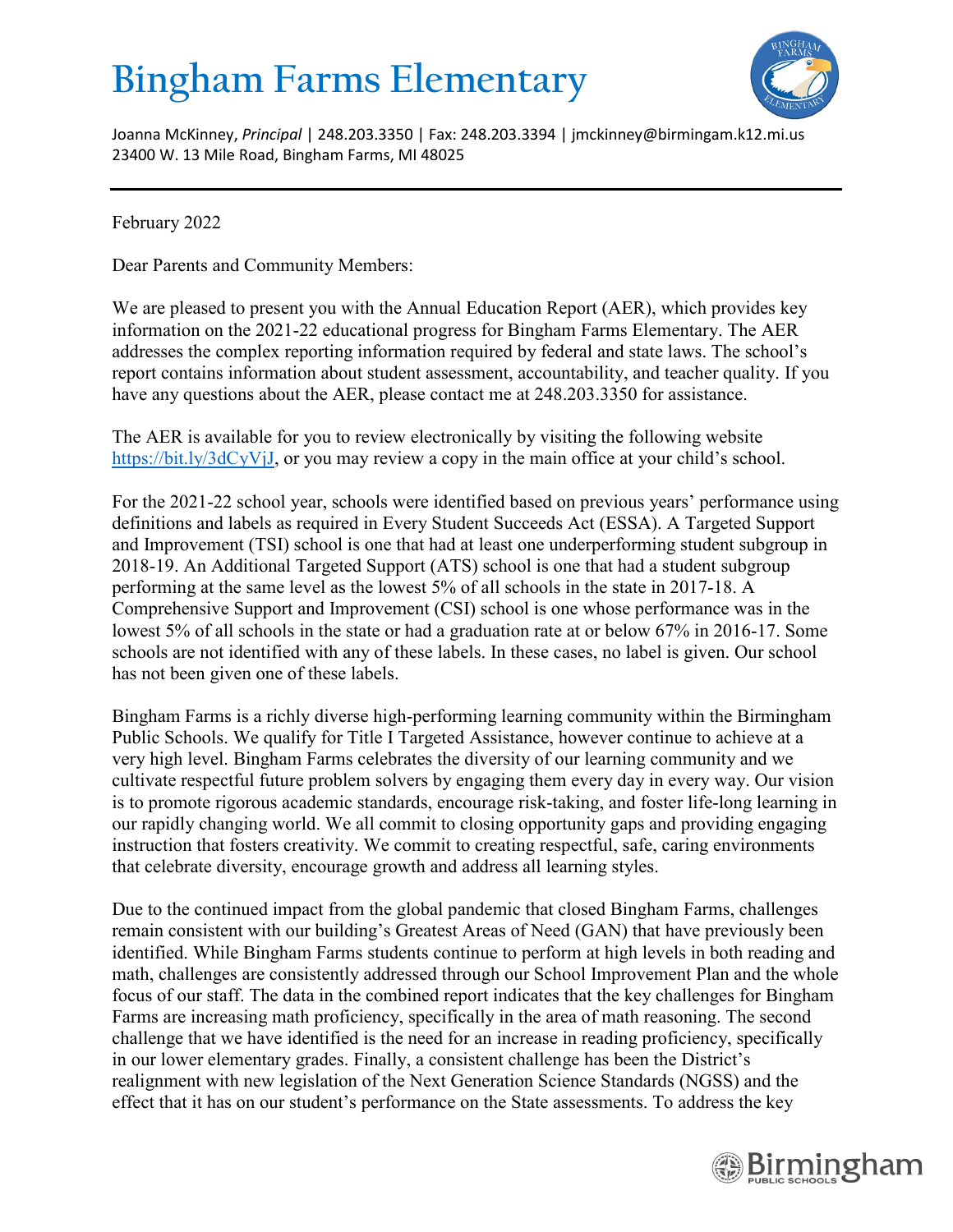## **Bingham Farms Elementary**



Joanna McKinney, *Principal* | 248.203.3350 | Fax: 248.203.3394 | jmckinney@birmingam.k12.mi.us 23400 W. 13 Mile Road, Bingham Farms, MI 48025

February 2022

Dear Parents and Community Members:

We are pleased to present you with the Annual Education Report (AER), which provides key information on the 2021-22 educational progress for Bingham Farms Elementary. The AER addresses the complex reporting information required by federal and state laws. The school's report contains information about student assessment, accountability, and teacher quality. If you have any questions about the AER, please contact me at 248.203.3350 for assistance.

The AER is available for you to review electronically by visiting the following website [https://bit.ly/3dCyVjJ,](https://bit.ly/3dCyVjJ) or you may review a copy in the main office at your child's school.

For the 2021-22 school year, schools were identified based on previous years' performance using definitions and labels as required in Every Student Succeeds Act (ESSA). A Targeted Support and Improvement (TSI) school is one that had at least one underperforming student subgroup in 2018-19. An Additional Targeted Support (ATS) school is one that had a student subgroup performing at the same level as the lowest 5% of all schools in the state in 2017-18. A Comprehensive Support and Improvement (CSI) school is one whose performance was in the lowest 5% of all schools in the state or had a graduation rate at or below 67% in 2016-17. Some schools are not identified with any of these labels. In these cases, no label is given. Our school has not been given one of these labels.

Bingham Farms is a richly diverse high-performing learning community within the Birmingham Public Schools. We qualify for Title I Targeted Assistance, however continue to achieve at a very high level. Bingham Farms celebrates the diversity of our learning community and we cultivate respectful future problem solvers by engaging them every day in every way. Our vision is to promote rigorous academic standards, encourage risk-taking, and foster life-long learning in our rapidly changing world. We all commit to closing opportunity gaps and providing engaging instruction that fosters creativity. We commit to creating respectful, safe, caring environments that celebrate diversity, encourage growth and address all learning styles.

Due to the continued impact from the global pandemic that closed Bingham Farms, challenges remain consistent with our building's Greatest Areas of Need (GAN) that have previously been identified. While Bingham Farms students continue to perform at high levels in both reading and math, challenges are consistently addressed through our School Improvement Plan and the whole focus of our staff. The data in the combined report indicates that the key challenges for Bingham Farms are increasing math proficiency, specifically in the area of math reasoning. The second challenge that we have identified is the need for an increase in reading proficiency, specifically in our lower elementary grades. Finally, a consistent challenge has been the District's realignment with new legislation of the Next Generation Science Standards (NGSS) and the effect that it has on our student's performance on the State assessments. To address the key

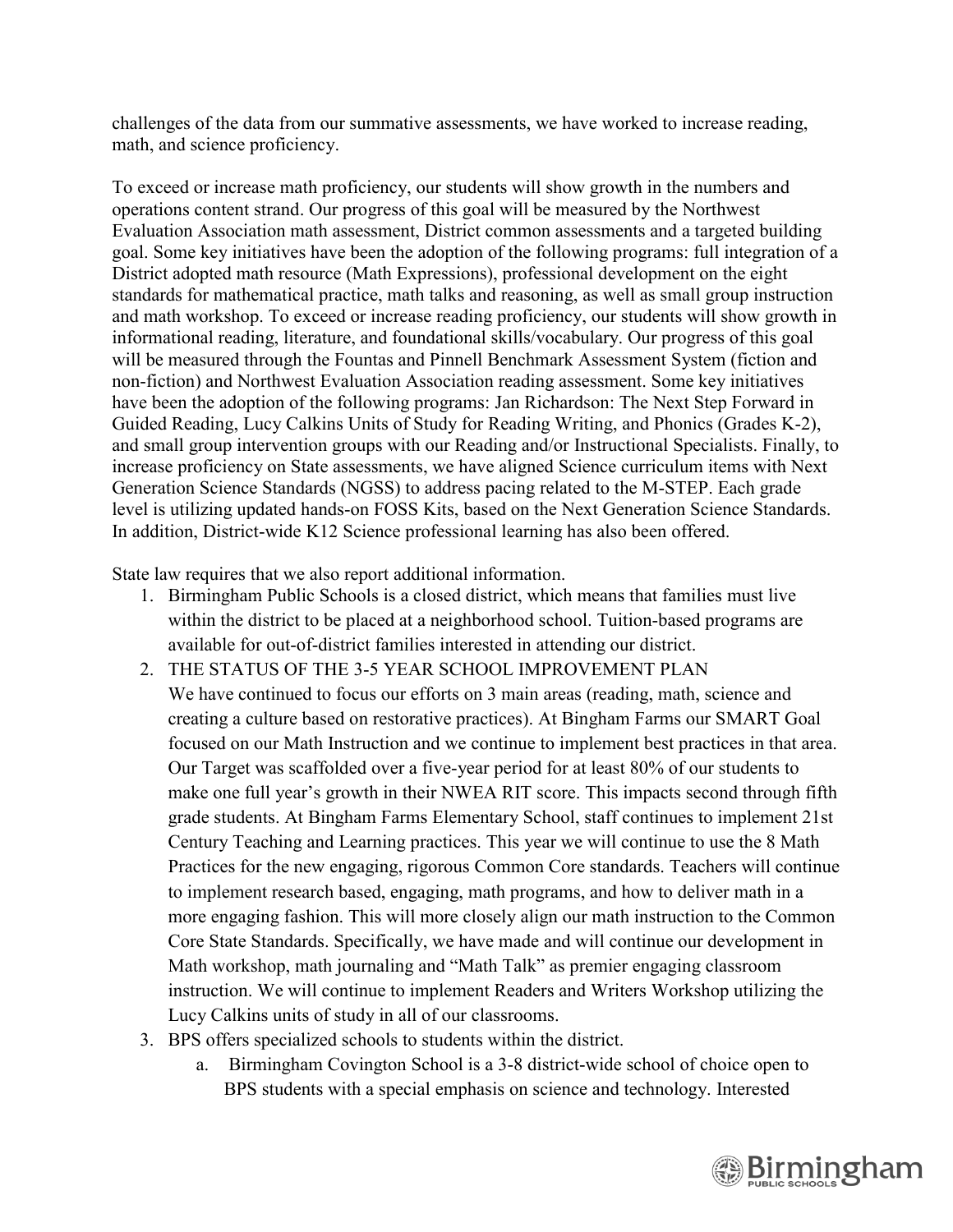challenges of the data from our summative assessments, we have worked to increase reading, math, and science proficiency.

To exceed or increase math proficiency, our students will show growth in the numbers and operations content strand. Our progress of this goal will be measured by the Northwest Evaluation Association math assessment, District common assessments and a targeted building goal. Some key initiatives have been the adoption of the following programs: full integration of a District adopted math resource (Math Expressions), professional development on the eight standards for mathematical practice, math talks and reasoning, as well as small group instruction and math workshop. To exceed or increase reading proficiency, our students will show growth in informational reading, literature, and foundational skills/vocabulary. Our progress of this goal will be measured through the Fountas and Pinnell Benchmark Assessment System (fiction and non-fiction) and Northwest Evaluation Association reading assessment. Some key initiatives have been the adoption of the following programs: Jan Richardson: The Next Step Forward in Guided Reading, Lucy Calkins Units of Study for Reading Writing, and Phonics (Grades K-2), and small group intervention groups with our Reading and/or Instructional Specialists. Finally, to increase proficiency on State assessments, we have aligned Science curriculum items with Next Generation Science Standards (NGSS) to address pacing related to the M-STEP. Each grade level is utilizing updated hands-on FOSS Kits, based on the Next Generation Science Standards. In addition, District-wide K12 Science professional learning has also been offered.

State law requires that we also report additional information.

- 1. Birmingham Public Schools is a closed district, which means that families must live within the district to be placed at a neighborhood school. Tuition-based programs are available for out-of-district families interested in attending our district.
- 2. THE STATUS OF THE 3-5 YEAR SCHOOL IMPROVEMENT PLAN We have continued to focus our efforts on 3 main areas (reading, math, science and creating a culture based on restorative practices). At Bingham Farms our SMART Goal focused on our Math Instruction and we continue to implement best practices in that area. Our Target was scaffolded over a five-year period for at least 80% of our students to make one full year's growth in their NWEA RIT score. This impacts second through fifth grade students. At Bingham Farms Elementary School, staff continues to implement 21st Century Teaching and Learning practices. This year we will continue to use the 8 Math Practices for the new engaging, rigorous Common Core standards. Teachers will continue to implement research based, engaging, math programs, and how to deliver math in a more engaging fashion. This will more closely align our math instruction to the Common Core State Standards. Specifically, we have made and will continue our development in Math workshop, math journaling and "Math Talk" as premier engaging classroom instruction. We will continue to implement Readers and Writers Workshop utilizing the Lucy Calkins units of study in all of our classrooms.
- 3. BPS offers specialized schools to students within the district.
	- a. Birmingham Covington School is a 3-8 district-wide school of choice open to BPS students with a special emphasis on science and technology. Interested

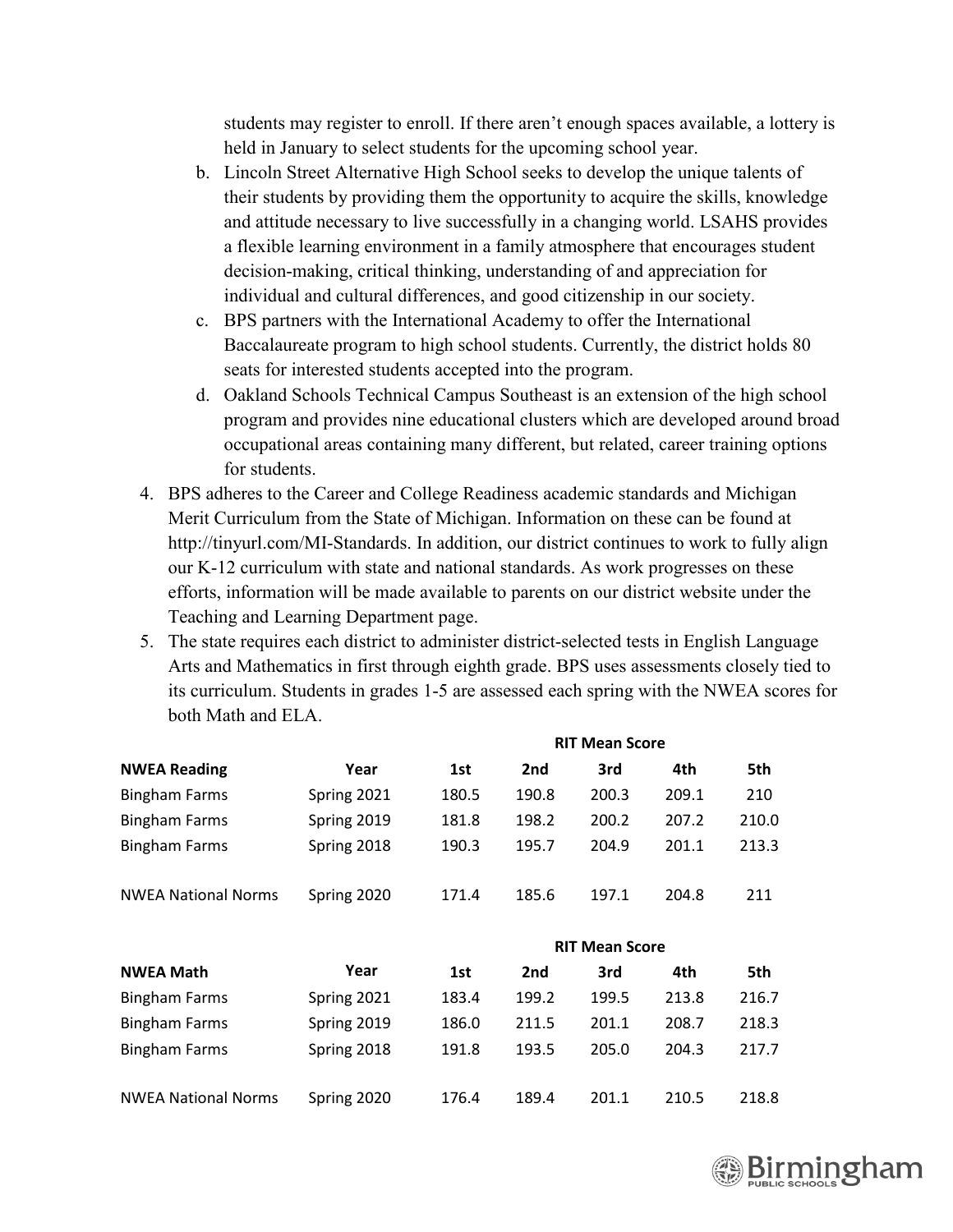students may register to enroll. If there aren't enough spaces available, a lottery is held in January to select students for the upcoming school year.

- b. Lincoln Street Alternative High School seeks to develop the unique talents of their students by providing them the opportunity to acquire the skills, knowledge and attitude necessary to live successfully in a changing world. LSAHS provides a flexible learning environment in a family atmosphere that encourages student decision-making, critical thinking, understanding of and appreciation for individual and cultural differences, and good citizenship in our society.
- c. BPS partners with the International Academy to offer the International Baccalaureate program to high school students. Currently, the district holds 80 seats for interested students accepted into the program.
- d. Oakland Schools Technical Campus Southeast is an extension of the high school program and provides nine educational clusters which are developed around broad occupational areas containing many different, but related, career training options for students.
- 4. BPS adheres to the Career and College Readiness academic standards and Michigan Merit Curriculum from the State of Michigan. Information on these can be found at http://tinyurl.com/MI-Standards. In addition, our district continues to work to fully align our K-12 curriculum with state and national standards. As work progresses on these efforts, information will be made available to parents on our district website under the Teaching and Learning Department page.
- 5. The state requires each district to administer district-selected tests in English Language Arts and Mathematics in first through eighth grade. BPS uses assessments closely tied to its curriculum. Students in grades 1-5 are assessed each spring with the NWEA scores for both Math and ELA.

| <b>NWEA Reading</b>        |             | <b>RIT Mean Score</b> |                       |       |       |       |
|----------------------------|-------------|-----------------------|-----------------------|-------|-------|-------|
|                            | Year        | 1st                   | 2nd                   | 3rd   | 4th   | 5th   |
| <b>Bingham Farms</b>       | Spring 2021 | 180.5                 | 190.8                 | 200.3 | 209.1 | 210   |
| <b>Bingham Farms</b>       | Spring 2019 | 181.8                 | 198.2                 | 200.2 | 207.2 | 210.0 |
| <b>Bingham Farms</b>       | Spring 2018 | 190.3                 | 195.7                 | 204.9 | 201.1 | 213.3 |
| <b>NWEA National Norms</b> | Spring 2020 | 171.4                 | 185.6                 | 197.1 | 204.8 | 211   |
|                            |             |                       | <b>RIT Mean Score</b> |       |       |       |
| <b>NWEA Math</b>           | Year        | 1st                   | 2nd                   | 3rd   | 4th   | 5th   |
| <b>Bingham Farms</b>       | Spring 2021 | 183.4                 | 199.2                 | 199.5 | 213.8 | 216.7 |
| <b>Bingham Farms</b>       | Spring 2019 | 186.0                 | 211.5                 | 201.1 | 208.7 | 218.3 |
| <b>Bingham Farms</b>       | Spring 2018 | 191.8                 | 193.5                 | 205.0 | 204.3 | 217.7 |
| <b>NWEA National Norms</b> | Spring 2020 | 176.4                 | 189.4                 | 201.1 | 210.5 | 218.8 |